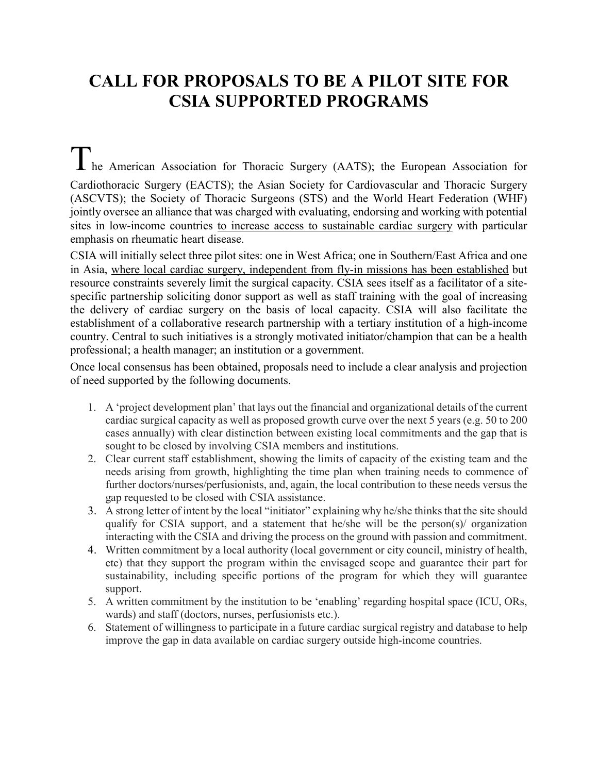## **CALL FOR PROPOSALS TO BE A PILOT SITE FOR CSIA SUPPORTED PROGRAMS**

The American Association for Thoracic Surgery (AATS); the European Association for Cardiothoracic Surgery (EACTS); the Asian Society for Cardiovascular and Thoracic Surgery (ASCVTS); the Society of Thoracic Surgeons (STS) and the World Heart Federation (WHF) jointly oversee an alliance that was charged with evaluating, endorsing and working with potential sites in low-income countries to increase access to sustainable cardiac surgery with particular emphasis on rheumatic heart disease.

CSIA will initially select three pilot sites: one in West Africa; one in Southern/East Africa and one in Asia, where local cardiac surgery, independent from fly-in missions has been established but resource constraints severely limit the surgical capacity. CSIA sees itself as a facilitator of a sitespecific partnership soliciting donor support as well as staff training with the goal of increasing the delivery of cardiac surgery on the basis of local capacity. CSIA will also facilitate the establishment of a collaborative research partnership with a tertiary institution of a high-income country. Central to such initiatives is a strongly motivated initiator/champion that can be a health professional; a health manager; an institution or a government.

Once local consensus has been obtained, proposals need to include a clear analysis and projection of need supported by the following documents.

- 1. A 'project development plan' that lays out the financial and organizational details of the current cardiac surgical capacity as well as proposed growth curve over the next 5 years (e.g. 50 to 200 cases annually) with clear distinction between existing local commitments and the gap that is sought to be closed by involving CSIA members and institutions.
- 2. Clear current staff establishment, showing the limits of capacity of the existing team and the needs arising from growth, highlighting the time plan when training needs to commence of further doctors/nurses/perfusionists, and, again, the local contribution to these needs versus the gap requested to be closed with CSIA assistance.
- 3. A strong letter of intent by the local "initiator" explaining why he/she thinks that the site should qualify for CSIA support, and a statement that he/she will be the person(s)/ organization interacting with the CSIA and driving the process on the ground with passion and commitment.
- 4. Written commitment by a local authority (local government or city council, ministry of health, etc) that they support the program within the envisaged scope and guarantee their part for sustainability, including specific portions of the program for which they will guarantee support.
- 5. A written commitment by the institution to be 'enabling' regarding hospital space (ICU, ORs, wards) and staff (doctors, nurses, perfusionists etc.).
- 6. Statement of willingness to participate in a future cardiac surgical registry and database to help improve the gap in data available on cardiac surgery outside high-income countries.